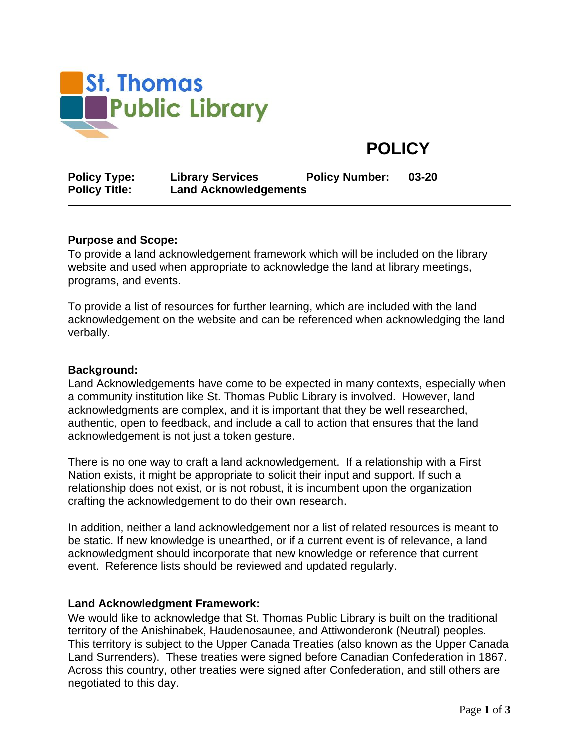

# **POLICY**

| <b>Policy Type:</b>  | <b>Library Services</b>      | <b>Policy Number:</b> | 03-20 |
|----------------------|------------------------------|-----------------------|-------|
| <b>Policy Title:</b> | <b>Land Acknowledgements</b> |                       |       |

#### **Purpose and Scope:**

To provide a land acknowledgement framework which will be included on the library website and used when appropriate to acknowledge the land at library meetings, programs, and events.

To provide a list of resources for further learning, which are included with the land acknowledgement on the website and can be referenced when acknowledging the land verbally.

#### **Background:**

Land Acknowledgements have come to be expected in many contexts, especially when a community institution like St. Thomas Public Library is involved. However, land acknowledgments are complex, and it is important that they be well researched, authentic, open to feedback, and include a call to action that ensures that the land acknowledgement is not just a token gesture.

There is no one way to craft a land acknowledgement. If a relationship with a First Nation exists, it might be appropriate to solicit their input and support. If such a relationship does not exist, or is not robust, it is incumbent upon the organization crafting the acknowledgement to do their own research.

In addition, neither a land acknowledgement nor a list of related resources is meant to be static. If new knowledge is unearthed, or if a current event is of relevance, a land acknowledgment should incorporate that new knowledge or reference that current event. Reference lists should be reviewed and updated regularly.

#### **Land Acknowledgment Framework:**

We would like to acknowledge that St. Thomas Public Library is built on the traditional territory of the Anishinabek, Haudenosaunee, and Attiwonderonk (Neutral) peoples. This territory is subject to the Upper Canada Treaties (also known as the Upper Canada Land Surrenders). These treaties were signed before Canadian Confederation in 1867. Across this country, other treaties were signed after Confederation, and still others are negotiated to this day.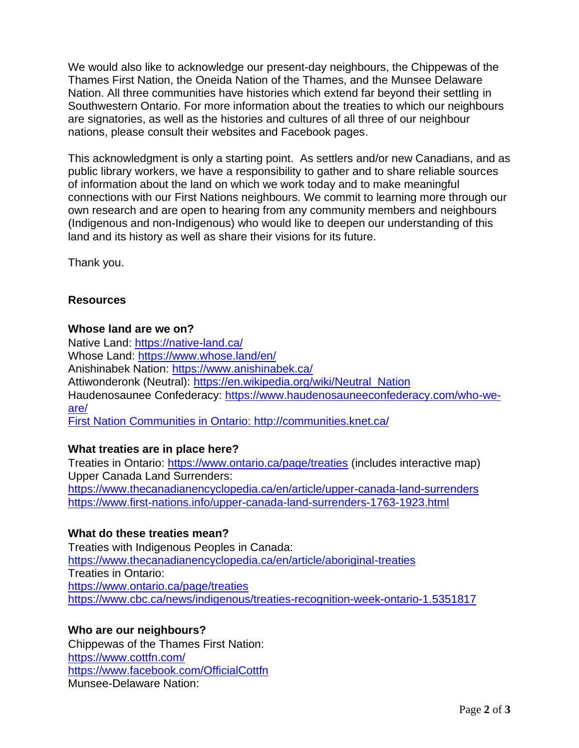We would also like to acknowledge our present-day neighbours, the Chippewas of the Thames First Nation, the Oneida Nation of the Thames, and the Munsee Delaware Nation. All three communities have histories which extend far beyond their settling in Southwestern Ontario. For more information about the treaties to which our neighbours are signatories, as well as the histories and cultures of all three of our neighbour nations, please consult their websites and Facebook pages.

This acknowledgment is only a starting point. As settlers and/or new Canadians, and as public library workers, we have a responsibility to gather and to share reliable sources of information about the land on which we work today and to make meaningful connections with our First Nations neighbours. We commit to learning more through our own research and are open to hearing from any community members and neighbours (Indigenous and non-Indigenous) who would like to deepen our understanding of this land and its history as well as share their visions for its future.

Thank you.

# **Resources**

## **Whose land are we on?**

Native Land:<https://native-land.ca/> Whose Land:<https://www.whose.land/en/> Anishinabek Nation:<https://www.anishinabek.ca/> Attiwonderonk (Neutral): [https://en.wikipedia.org/wiki/Neutral\\_Nation](https://en.wikipedia.org/wiki/Neutral_Nation) Haudenosaunee Confederacy: [https://www.haudenosauneeconfederacy.com/who-we](https://www.haudenosauneeconfederacy.com/who-we-are/)[are/](https://www.haudenosauneeconfederacy.com/who-we-are/) First Nation Communities in Ontario: <http://communities.knet.ca/>

## **What treaties are in place here?**

Treaties in Ontario:<https://www.ontario.ca/page/treaties> (includes interactive map) Upper Canada Land Surrenders: <https://www.thecanadianencyclopedia.ca/en/article/upper-canada-land-surrenders> <https://www.first-nations.info/upper-canada-land-surrenders-1763-1923.html>

# **What do these treaties mean?**

Treaties with Indigenous Peoples in Canada: <https://www.thecanadianencyclopedia.ca/en/article/aboriginal-treaties> Treaties in Ontario: <https://www.ontario.ca/page/treaties> https://www.cbc.ca/news/indigenous/treaties-recognition-week-ontario-1.5351817

## **Who are our neighbours?**

Chippewas of the Thames First Nation: <https://www.cottfn.com/> <https://www.facebook.com/OfficialCottfn> Munsee-Delaware Nation: